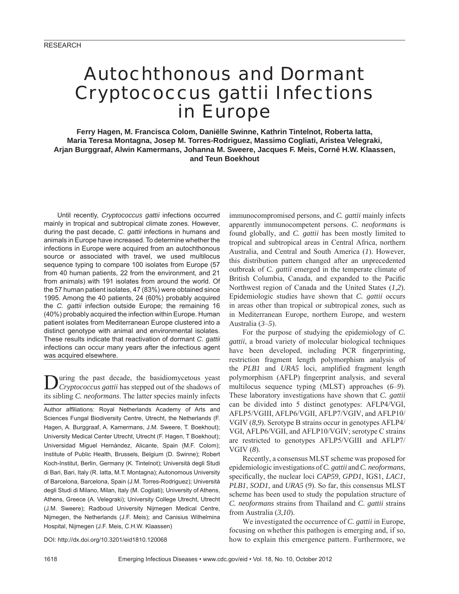# Autochthonous and Dormant *Cryptococcus gattii* Infections in Europe

**Ferry Hagen, M. Francisca Colom, Daniëlle Swinne, Kathrin Tintelnot, Roberta Iatta, Maria Teresa Montagna, Josep M. Torres-Rodriguez, Massimo Cogliati, Aristea Velegraki, Arjan Burggraaf, Alwin Kamermans, Johanna M. Sweere, Jacques F. Meis, Corné H.W. Klaassen, and Teun Boekhout**

Until recently, *Cryptococcus gattii* infections occurred mainly in tropical and subtropical climate zones. However, during the past decade, *C. gattii* infections in humans and animals in Europe have increased. To determine whether the infections in Europe were acquired from an autochthonous source or associated with travel, we used multilocus sequence typing to compare 100 isolates from Europe (57 from 40 human patients, 22 from the environment, and 21 from animals) with 191 isolates from around the world. Of the 57 human patient isolates, 47 (83%) were obtained since 1995. Among the 40 patients, 24 (60%) probably acquired the *C. gattii* infection outside Europe; the remaining 16 (40%) probably acquired the infection within Europe. Human patient isolates from Mediterranean Europe clustered into a distinct genotype with animal and environmental isolates. These results indicate that reactivation of dormant *C. gattii* infections can occur many years after the infectious agent was acquired elsewhere.

**D**uring the past decade, the basidiomycetous yeast *Cryptococcus gattii* has stepped out of the shadows of its sibling *C. neoformans*. The latter species mainly infects

Author affiliations: Royal Netherlands Academy of Arts and Sciences Fungal Biodiversity Centre, Utrecht, the Netherlands (F. Hagen, A. Burggraaf, A. Kamermans, J.M. Sweere, T. Boekhout); University Medical Center Utrecht, Utrecht (F. Hagen, T Boekhout); Universidad Miguel Hernàndez, Alicante, Spain (M.F. Colom); Institute of Public Health, Brussels, Belgium (D. Swinne); Robert Koch-Institut, Berlin, Germany (K. Tintelnot); Università degli Studi di Bari, Bari, Italy (R. Iatta, M.T. Montagna); Autonomous University of Barcelona, Barcelona, Spain (J.M. Torres-Rodriguez); Università degli Studi di Milano, Milan, Italy (M. Cogliati); University of Athens, Athens, Greece (A. Velegraki); University College Utrecht, Utrecht (J.M. Sweere); Radboud University Nijmegen Medical Centre, Nijmegen, the Netherlands (J.F. Meis); and Canisius Wilhelmina Hospital, Nijmegen (J.F. Meis, C.H.W. Klaassen)

DOI: http://dx.doi.org/10.3201/eid1810.120068

immunocompromised persons, and *C. gattii* mainly infects apparently immunocompetent persons. *C. neoformans* is found globally, and *C. gattii* has been mostly limited to tropical and subtropical areas in Central Africa, northern Australia, and Central and South America (*1*). However, this distribution pattern changed after an unprecedented outbreak of *C. gattii* emerged in the temperate climate of British Columbia, Canada, and expanded to the Pacific Northwest region of Canada and the United States (*1*,*2*). Epidemiologic studies have shown that *C. gattii* occurs in areas other than tropical or subtropical zones, such as in Mediterranean Europe, northern Europe, and western Australia (*3*–*5*).

For the purpose of studying the epidemiology of *C. gattii*, a broad variety of molecular biological techniques have been developed, including PCR fingerprinting, restriction fragment length polymorphism analysis of the *PLB1* and *URA5* loci, amplified fragment length polymorphism (AFLP) fingerprint analysis, and several multilocus sequence typing (MLST) approaches (*6*–*9*). These laboratory investigations have shown that *C. gattii* can be divided into 5 distinct genotypes: AFLP4/VGI, AFLP5/VGIII, AFLP6/VGII, AFLP7/VGIV, and AFLP10/ VGIV (*8*,*9*). Serotype B strains occur in genotypes AFLP4/ VGI, AFLP6/VGII, and AFLP10/VGIV; serotype C strains are restricted to genotypes AFLP5/VGIII and AFLP7/ VGIV (*8*).

Recently, a consensus MLST scheme was proposed for epidemiologic investigations of *C. gattii* and *C. neoformans*, specifically, the nuclear loci *CAP59*, *GPD1*, *IGS1*, *LAC1*, *PLB1*, *SOD1*, and *URA5* (*9*). So far, this consensus MLST scheme has been used to study the population structure of *C. neoformans* strains from Thailand and *C. gattii* strains from Australia (*3*,*10*).

We investigated the occurrence of *C. gattii* in Europe, focusing on whether this pathogen is emerging and, if so, how to explain this emergence pattern. Furthermore, we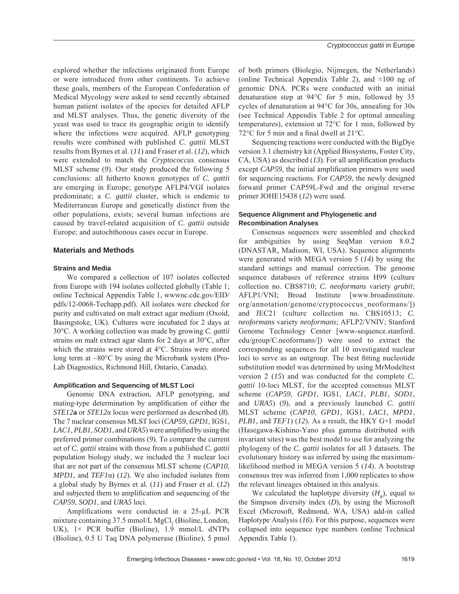explored whether the infections originated from Europe or were introduced from other continents. To achieve these goals, members of the European Confederation of Medical Mycology were asked to send recently obtained human patient isolates of the species for detailed AFLP and MLST analyses. Thus, the genetic diversity of the yeast was used to trace its geographic origin to identify where the infections were acquired. AFLP genotyping results were combined with published *C. gattii* MLST results from Byrnes et al. (*11*) and Fraser et al. (*12*), which were extended to match the *Cryptococcus* consensus MLST scheme (*9*). Our study produced the following 5 conclusions: all hitherto known genotypes of *C. gattii* are emerging in Europe; genotype AFLP4/VGI isolates predominate; a *C. gattii* cluster, which is endemic to Mediterranean Europe and genetically distinct from the other populations, exists; several human infections are caused by travel-related acquisition of *C. gattii* outside Europe; and autochthonous cases occur in Europe.

## **Materials and Methods**

#### **Strains and Media**

We compared a collection of 107 isolates collected from Europe with 194 isolates collected globally (Table 1; online Technical Appendix Table 1, wwwnc.cdc.gov/EID/ pdfs/12-0068-Techapp.pdf). All isolates were checked for purity and cultivated on malt extract agar medium (Oxoid, Basingstoke, UK). Cultures were incubated for 2 days at 30°C. A working collection was made by growing *C. gattii* strains on malt extract agar slants for 2 days at 30°C, after which the strains were stored at 4°C. Strains were stored long term at −80°C by using the Microbank system (Pro-Lab Diagnostics, Richmond Hill, Ontario, Canada).

#### **Amplifi cation and Sequencing of MLST Loci**

Genomic DNA extraction, AFLP genotyping, and mating-type determination by amplification of either the *STE12***a** or *STE12*α locus were performed as described (*8*). The 7 nuclear consensus MLST loci (*CAP59*, *GPD1*, IGS1, *LAC1*, *PLB1*, *SOD1*, and *URA5*) were amplified by using the preferred primer combinations (*9*). To compare the current set of *C. gattii* strains with those from a published *C. gattii* population biology study, we included the 3 nuclear loci that are not part of the consensus MLST scheme (*CAP10*, *MPD1*, and *TEF1*α) (*12*). We also included isolates from a global study by Byrnes et al. (*11*) and Fraser et al. (*12*) and subjected them to amplification and sequencing of the *CAP59*, *SOD1*, and *URA5* loci.

Amplifications were conducted in a 25-μL PCR mixture containing 37.5 mmol/L MgCl<sub>2</sub> (Bioline, London, UK),  $1 \times$  PCR buffer (Bioline),  $1.\overline{9}$  mmol/L dNTPs (Bioline), 0.5 U Taq DNA polymerase (Bioline), 5 pmol

of both primers (Biolegio, Nijmegen, the Netherlands) (online Technical Appendix Table 2), and  $\approx 100$  ng of genomic DNA. PCRs were conducted with an initial denaturation step at 94°C for 5 min, followed by 35 cycles of denaturation at 94°C for 30s, annealing for 30s (see Technical Appendix Table 2 for optimal annealing temperatures), extension at 72°C for 1 min, followed by 72 $\degree$ C for 5 min and a final dwell at 21 $\degree$ C.

Sequencing reactions were conducted with the BigDye version 3.1 chemistry kit (Applied Biosystems, Foster City,  $CA$ , USA) as described  $(13)$ . For all amplification products except *CAP59*, the initial amplification primers were used for sequencing reactions. For *CAP59*, the newly designed forward primer CAP59L-Fwd and the original reverse primer JOHE15438 (*12*) were used.

## **Sequence Alignment and Phylogenetic and Recombination Analyses**

Consensus sequences were assembled and checked for ambiguities by using SeqMan version 8.0.2 (DNASTAR, Madison, WI, USA). Sequence alignments were generated with MEGA version 5 (*14*) by using the standard settings and manual correction. The genome sequence databases of reference strains H99 (culture collection no. CBS8710; *C. neoformans* variety *grubii*; AFLP1/VNI; Broad Institute [www.broadinstitute. org/annotation/genome/cryptococcus\_neoformans/]) and JEC21 (culture collection no. CBS10513; *C. neoformans* variety *neoformans*; AFLP2/VNIV; Stanford Genome Technology Center [www-sequence.stanford. edu/group/C.neoformans/]) were used to extract the corresponding sequences for all 10 investigated nuclear loci to serve as an outgroup. The best fitting nucleotide substitution model was determined by using MrModeltest version 2 (*15*) and was conducted for the complete *C. gattii* 10-loci MLST, for the accepted consensus MLST scheme (*CAP59*, *GPD1*, IGS1, *LAC1*, *PLB1*, *SOD1*, and *URA5*) (*9*), and a previously launched *C. gattii* MLST scheme (*CAP10*, *GPD1*, IGS1, *LAC1*, *MPD1*, *PLB1*, and *TEF1*) (*12*). As a result, the HKY G+I model (Hasegawa-Kishino-Yano plus gamma distributed with invariant sites) was the best model to use for analyzing the phylogeny of the *C. gattii* isolates for all 3 datasets. The evolutionary history was inferred by using the maximumlikelihood method in MEGA version 5 (*14*). A bootstrap consensus tree was inferred from 1,000 replicates to show the relevant lineages obtained in this analysis.

We calculated the haplotype diversity  $(H_p)$ , equal to the Simpson diversity index (*D*), by using the Microsoft Excel (Microsoft, Redmond, WA, USA) add-in called Haplotype Analysis (*16*). For this purpose, sequences were collapsed into sequence type numbers (online Technical Appendix Table 1).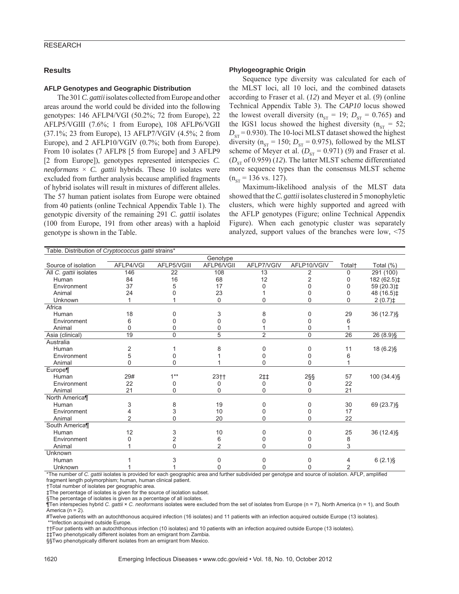## **RESEARCH**

#### **Results**

#### **AFLP Genotypes and Geographic Distribution**

The 301 *C. gattii* isolates collected from Europe and other areas around the world could be divided into the following genotypes: 146 AFLP4/VGI (50.2%; 72 from Europe), 22 AFLP5/VGIII (7.6%; 1 from Europe), 108 AFLP6/VGII (37.1%; 23 from Europe), 13 AFLP7/VGIV (4.5%; 2 from Europe), and 2 AFLP10/VGIV (0.7%; both from Europe). From 10 isolates (7 AFLP8 [5 from Europe] and 3 AFLP9 [2 from Europe]), genotypes represented interspecies *C. neoformans*  $\times$  *C. gattii* hybrids. These 10 isolates were excluded from further analysis because amplified fragments of hybrid isolates will result in mixtures of different alleles. The 57 human patient isolates from Europe were obtained from 40 patients (online Technical Appendix Table 1). The genotypic diversity of the remaining 291 *C. gattii* isolates (100 from Europe, 191 from other areas) with a haploid genotype is shown in the Table.

#### **Phylogeographic Origin**

Sequence type diversity was calculated for each of the MLST loci, all 10 loci, and the combined datasets according to Fraser et al. (*12*) and Meyer et al. (*9*) (online Technical Appendix Table 3). The *CAP10* locus showed the lowest overall diversity ( $n_{ST}$  = 19;  $D_{ST}$  = 0.765) and the IGS1 locus showed the highest diversity ( $n_{ST} = 52$ ;  $D_{ST}$  = 0.930). The 10-loci MLST dataset showed the highest diversity ( $n_{ST}$  = 150;  $D_{ST}$  = 0.975), followed by the MLST scheme of Meyer et al.  $(D_{ST} = 0.971)$  (9) and Fraser et al.  $(D_{ST}$  of 0.959) (12). The latter MLST scheme differentiated more sequence types than the consensus MLST scheme  $(n_{ST} = 136 \text{ vs. } 127).$ 

Maximum-likelihood analysis of the MLST data showed that the *C. gattii* isolates clustered in 5 monophyletic clusters, which were highly supported and agreed with the AFLP genotypes (Figure; online Technical Appendix Figure). When each genotypic cluster was separately analyzed, support values of the branches were low, <75

| Table. Distribution of Cryptococcus gattii strains* |           |             |                |                |             |                    |                       |
|-----------------------------------------------------|-----------|-------------|----------------|----------------|-------------|--------------------|-----------------------|
|                                                     | Genotype  |             |                |                |             |                    |                       |
| Source of isolation                                 | AFLP4/VGI | AFLP5/VGIII | AFLP6/VGII     | AFLP7/VGIV     | AFLP10/VGIV | Total <sup>+</sup> | Total (%)             |
| All C. gattii isolates                              | 146       | 22          | 108            | 13             | 2           | U                  | $\overline{29}1(100)$ |
| Human                                               | 84        | 16          | 68             | 12             | 2           | O                  | 182 (62.5)‡           |
| Environment                                         | 37        | 5           | 17             | ი              |             |                    | 59 (20.3)‡            |
| Animal                                              | 24        |             | 23             |                | 0           | 0                  | 48 (16.5)‡            |
| Unknown                                             |           |             | 0              | 0              | 0           | 0                  | $2(0.7)$ ‡            |
| Africa                                              |           |             |                |                |             |                    |                       |
| Human                                               | 18        | O           | 3              | 8              | 0           | 29                 | 36 (12.7) §           |
| Environment                                         | 6         |             | U              |                |             |                    |                       |
| Animal                                              | $\Omega$  |             | 0              |                | 0           |                    |                       |
| Asia (clinical)                                     | 19        | $\Omega$    | 5              | $\overline{2}$ | $\Omega$    | 26                 | 26 (8.9) §            |
| Australia                                           |           |             |                |                |             |                    |                       |
| Human                                               | 2         |             | 8              | 0              | 0           | 11                 | 18 (6.2)§             |
| Environment                                         | 5         |             |                | U              | n           | 6                  |                       |
| Animal                                              | $\Omega$  | U           |                | $\Omega$       | 0           |                    |                       |
| Europe¶                                             |           |             |                |                |             |                    |                       |
| Human                                               | 29#       | $1***$      | $23 + 1$       | 2‡‡            | $2\S$       | 57                 | 100 (34.4) §          |
| Environment                                         | 22        | 0           | 0              | 0              | 0           | 22                 |                       |
| Animal                                              | 21        | 0           | 0              | 0              | 0           | 21                 |                       |
| North America¶                                      |           |             |                |                |             |                    |                       |
| Human                                               | 3         | 8           | 19             | 0              | 0           | 30                 | 69 (23.7) §           |
| Environment                                         |           | 3           | 10             | 0              | 0           | 17                 |                       |
| Animal                                              | 2         | 0           | 20             | 0              | 0           | 22                 |                       |
| South America¶                                      |           |             |                |                |             |                    |                       |
| Human                                               | 12        | 3           | 10             | $\Omega$       | 0           | 25                 | 36 (12.4) §           |
| Environment                                         | U         | 2           | 6              | 0              | O.          | 8                  |                       |
| Animal                                              |           | 0           | $\overline{2}$ | $\Omega$       | U           | 3                  |                       |
| Unknown                                             |           |             |                |                |             |                    |                       |
| Human                                               |           | 3           | 0              | 0              | U           | 4                  | $6(2.1)\$             |
| Unknown                                             |           |             | 0              | ი              |             | 2                  |                       |

\*The number of *C. gattii* isolates is provided for each geographic area and further subdivided per genotype and source of isolation. AFLP, amplified fragment length polymorphism; human, human clinical patient.

†Total number of isolates per geographic area.

‡The percentage of isolates is given for the source of isolation subset.

§The percentage of isolates is given as a percentage of all isolates.

¶Ten interspecies hybrid *C. gattii* × *C. neoformans* isolates were excluded from the set of isolates from Europe (n = 7), North America (n = 1), and South America (n = 2).

#Twelve patients with an autochthonous acquired infection (16 isolates) and 11 patients with an infection acquired outside Europe (13 isolates). \*\*Infection acquired outside Europe.

††Four patients with an autochthonous infection (10 isolates) and 10 patients with an infection acquired outside Europe (13 isolates).

‡‡Two phenotypically different isolates from an emigrant from Zambia.

§§Two phenotypically different isolates from an emigrant from Mexico.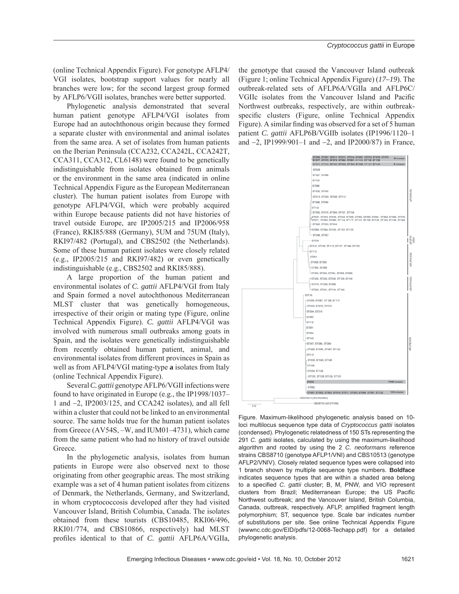(online Technical Appendix Figure). For genotype AFLP4/ VGI isolates, bootstrap support values for nearly all branches were low; for the second largest group formed by AFLP6/VGII isolates, branches were better supported.

Phylogenetic analysis demonstrated that several human patient genotype AFLP4/VGI isolates from Europe had an autochthonous origin because they formed a separate cluster with environmental and animal isolates from the same area. A set of isolates from human patients on the Iberian Peninsula (CCA232, CCA242L, CCA242T, CCA311, CCA312, CL6148) were found to be genetically indistinguishable from isolates obtained from animals or the environment in the same area (indicated in online Technical Appendix Figure as the European Mediterranean cluster). The human patient isolates from Europe with genotype AFLP4/VGI, which were probably acquired within Europe because patients did not have histories of travel outside Europe, are IP2005/215 and IP2006/958 (France), RKI85/888 (Germany), 5UM and 75UM (Italy), RKI97/482 (Portugal), and CBS2502 (the Netherlands). Some of these human patient isolates were closely related (e.g., IP2005/215 and RKI97/482) or even genetically indistinguishable (e.g., CBS2502 and RKI85/888).

A large proportion of the human patient and environmental isolates of *C. gattii* AFLP4/VGI from Italy and Spain formed a novel autochthonous Mediterranean MLST cluster that was genetically homogeneous, irrespective of their origin or mating type (Figure, online Technical Appendix Figure). *C. gattii* AFLP4/VGI was involved with numerous small outbreaks among goats in Spain, and the isolates were genetically indistinguishable from recently obtained human patient, animal, and environmental isolates from different provinces in Spain as well as from AFLP4/VGI mating-type **a** isolates from Italy (online Technical Appendix Figure).

Several *C. gattii* genotype AFLP6/VGII infections were found to have originated in Europe (e.g., the IP1998/1037– 1 and −2, IP2003/125, and CCA242 isolates), and all fell within a cluster that could not be linked to an environmental source. The same holds true for the human patient isolates from Greece (AV54S, –W, and IUM01–4731), which came from the same patient who had no history of travel outside Greece.

In the phylogenetic analysis, isolates from human patients in Europe were also observed next to those originating from other geographic areas. The most striking example was a set of 4 human patient isolates from citizens of Denmark, the Netherlands, Germany, and Switzerland, in whom cryptococcosis developed after they had visited Vancouver Island, British Columbia, Canada. The isolates obtained from these tourists (CBS10485, RKI06/496, RKI01/774, and CBS10866, respectively) had MLST profiles identical to that of *C. gattii* AFLP6A/VGIIa,

the genotype that caused the Vancouver Island outbreak (Figure 1; online Technical Appendix Figure) (*17–19*). The outbreak-related sets of AFLP6A/VGIIa and AFLP6C/ VGIIc isolates from the Vancouver Island and Pacific Northwest outbreaks, respectively, are within outbreakspecific clusters (Figure, online Technical Appendix Figure). A similar finding was observed for a set of 5 human patient *C. gattii* AFLP6B/VGIIb isolates (IP1996/1120–1 and −2, IP1999/901–1 and −2, and IP2000/87) in France,



Figure. Maximum-likelihood phylogenetic analysis based on 10 loci multilocus sequence type data of *Cryptococcus gattii* isolates (condensed). Phylogenetic relatedness of 150 STs representing the 291 *C. gattii* isolates, calculated by using the maximum-likelihood algorithm and rooted by using the 2 *C. neoformans* reference strains CBS8710 (genotype AFLP1/VNI) and CBS10513 (genotype AFLP2/VNIV). Closely related sequence types were collapsed into 1 branch shown by multiple sequence type numbers. **Boldface** indicates sequence types that are within a shaded area belong to a specified *C. gattii* cluster; B, M, PNW, and VIO represent clusters from Brazil; Mediterranean Europe; the US Pacific Northwest outbreak; and the Vancouver Island, British Columbia, Canada, outbreak, respectively. AFLP, amplified fragment length polymorphism; ST, sequence type. Scale bar indicates number of substitutions per site. See online Technical Appendix Figure (wwwnc.cdc.gov/EID/pdfs/12-0068-Techapp.pdf) for a detailed phylogenetic analysis.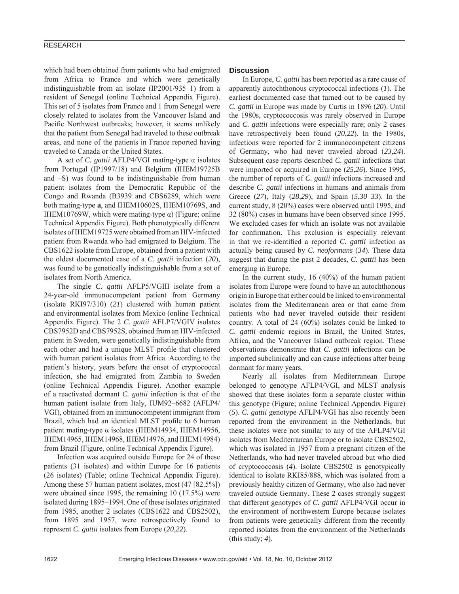## RESEARCH

which had been obtained from patients who had emigrated from Africa to France and which were genetically indistinguishable from an isolate (IP2001/935–1) from a resident of Senegal (online Technical Appendix Figure). This set of 5 isolates from France and 1 from Senegal were closely related to isolates from the Vancouver Island and Pacific Northwest outbreaks; however, it seems unlikely that the patient from Senegal had traveled to these outbreak areas, and none of the patients in France reported having traveled to Canada or the United States.

A set of *C. gattii* AFLP4/VGI mating-type α isolates from Portugal (IP1997/18) and Belgium (IHEM19725B and –S) was found to be indistinguishable from human patient isolates from the Democratic Republic of the Congo and Rwanda (B3939 and CBS6289, which were both mating-type **a**, and IHEM10602S, IHEM10769S, and IHEM10769W, which were mating-type  $α$ ) (Figure; online Technical Appendix Figure). Both phenotypically different isolates of IHEM19725 were obtained from an HIV-infected patient from Rwanda who had emigrated to Belgium. The CBS1622 isolate from Europe, obtained from a patient with the oldest documented case of a *C. gattii* infection (*20*), was found to be genetically indistinguishable from a set of isolates from North America.

The single *C. gattii* AFLP5/VGIII isolate from a 24-year-old immunocompetent patient from Germany (isolate RKI97/310) (*21*) clustered with human patient and environmental isolates from Mexico (online Technical Appendix Figure). The 2 *C. gattii* AFLP7/VGIV isolates CBS7952D and CBS7952S, obtained from an HIV-infected patient in Sweden, were genetically indistinguishable from each other and had a unique MLST profile that clustered with human patient isolates from Africa. According to the patient's history, years before the onset of cryptococcal infection, she had emigrated from Zambia to Sweden (online Technical Appendix Figure). Another example of a reactivated dormant *C. gattii* infection is that of the human patient isolate from Italy, IUM92–6682 (AFLP4/ VGI), obtained from an immunocompetent immigrant from Brazil, which had an identical MLST profile to 6 human patient mating-type α isolates (IHEM14934, IHEM14956, IHEM14965, IHEM14968, IHEM14976, and IHEM14984) from Brazil (Figure, online Technical Appendix Figure).

Infection was acquired outside Europe for 24 of these patients (31 isolates) and within Europe for 16 patients (26 isolates) (Table; online Technical Appendix Figure). Among these 57 human patient isolates, most (47 [82.5%]) were obtained since 1995, the remaining 10 (17.5%) were isolated during 1895–1994. One of these isolates originated from 1985, another 2 isolates (CBS1622 and CBS2502), from 1895 and 1957, were retrospectively found to represent *C. gattii* isolates from Europe (*20*,*22*).

## **Discussion**

In Europe, *C. gattii* has been reported as a rare cause of apparently autochthonous cryptococcal infections (*1*). The earliest documented case that turned out to be caused by *C. gattii* in Europe was made by Curtis in 1896 (*20*). Until the 1980s, cryptococcosis was rarely observed in Europe and *C. gattii* infections were especially rare; only 2 cases have retrospectively been found (*20*,*22*). In the 1980s, infections were reported for 2 immunocompetent citizens of Germany, who had never traveled abroad (*23*,*24*). Subsequent case reports described *C. gattii* infections that were imported or acquired in Europe (*25*,*26*). Since 1995, the number of reports of *C. gattii* infections increased and describe *C. gattii* infections in humans and animals from Greece (*27*), Italy (*28*,*29*), and Spain (*5*,*30*–*33*). In the current study, 8 (20%) cases were observed until 1995, and 32 (80%) cases in humans have been observed since 1995. We excluded cases for which an isolate was not available for confirmation. This exclusion is especially relevant in that we re-identified a reported *C. gattii* infection as actually being caused by *C. neoformans* (*34*). These data suggest that during the past 2 decades, *C. gattii* has been emerging in Europe.

In the current study, 16 (40%) of the human patient isolates from Europe were found to have an autochthonous origin in Europe that either could be linked to environmental isolates from the Mediterranean area or that came from patients who had never traveled outside their resident country. A total of 24 (60%) isolates could be linked to *C. gattii*–endemic regions in Brazil, the United States, Africa, and the Vancouver Island outbreak region. These observations demonstrate that *C. gattii* infections can be imported subclinically and can cause infections after being dormant for many years.

Nearly all isolates from Mediterranean Europe belonged to genotype AFLP4/VGI, and MLST analysis showed that these isolates form a separate cluster within this genotype (Figure; online Technical Appendix Figure) (*5*). *C. gattii* genotype AFLP4/VGI has also recently been reported from the environment in the Netherlands, but these isolates were not similar to any of the AFLP4/VGI isolates from Mediterranean Europe or to isolate CBS2502, which was isolated in 1957 from a pregnant citizen of the Netherlands, who had never traveled abroad but who died of cryptococcosis (*4*). Isolate CBS2502 is genotypically identical to isolate RKI85/888, which was isolated from a previously healthy citizen of Germany, who also had never traveled outside Germany. These 2 cases strongly suggest that different genotypes of *C. gattii* AFLP4/VGI occur in the environment of northwestern Europe because isolates from patients were genetically different from the recently reported isolates from the environment of the Netherlands (this study; *4*).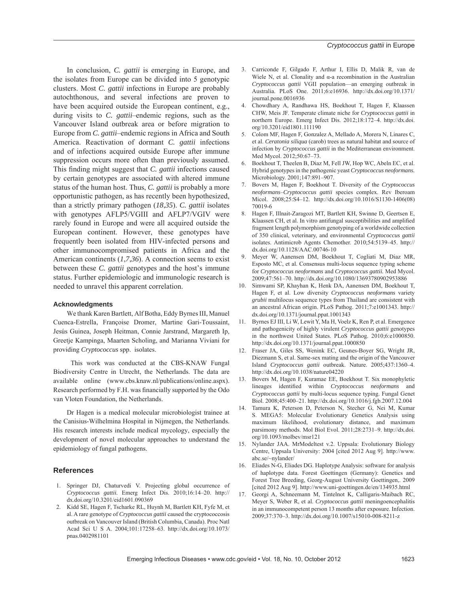In conclusion, *C. gattii* is emerging in Europe, and the isolates from Europe can be divided into 5 genotypic clusters. Most *C. gattii* infections in Europe are probably autochthonous, and several infections are proven to have been acquired outside the European continent, e.g., during visits to *C. gattii*–endemic regions, such as the Vancouver Island outbreak area or before migration to Europe from *C. gattii*–endemic regions in Africa and South America. Reactivation of dormant *C. gattii* infections and of infections acquired outside Europe after immune suppression occurs more often than previously assumed. This finding might suggest that *C. gattii* infections caused by certain genotypes are associated with altered immune status of the human host. Thus, *C. gattii* is probably a more opportunistic pathogen, as has recently been hypothesized, than a strictly primary pathogen (*18*,*35*). *C. gattii* isolates with genotypes AFLP5/VGIII and AFLP7/VGIV were rarely found in Europe and were all acquired outside the European continent. However, these genotypes have frequently been isolated from HIV-infected persons and other immunocompromised patients in Africa and the American continents (*1*,*7*,*36*). A connection seems to exist between these *C. gattii* genotypes and the host's immune status. Further epidemiologic and immunologic research is needed to unravel this apparent correlation.

## **Acknowledgments**

We thank Karen Bartlett, Alf Botha, Eddy Byrnes III, Manuel Cuenca-Estrella, Françoise Dromer, Martine Gari-Toussaint, Jesús Guinea, Joseph Heitman, Connie Jarstrand, Margareth Ip, Greetje Kampinga, Maarten Scholing, and Marianna Viviani for providing *Cryptococcus* spp. isolates.

 This work was conducted at the CBS-KNAW Fungal Biodiversity Centre in Utrecht, the Netherlands. The data are available online (www.cbs.knaw.nl/publications/online.aspx). Research performed by F.H. was financially supported by the Odo van Vloten Foundation, the Netherlands.

Dr Hagen is a medical molecular microbiologist trainee at the Canisius-Wilhelmina Hospital in Nijmegen, the Netherlands. His research interests include medical mycology, especially the development of novel molecular approaches to understand the epidemiology of fungal pathogens.

## **References**

- 1. Springer DJ, Chaturvedi V. Projecting global occurrence of *Cryptococcus gattii.* Emerg Infect Dis. 2010;16:14–20. http:// dx.doi.org/10.3201/eid1601.090369
- 2. Kidd SE, Hagen F, Tscharke RL, Huynh M, Bartlett KH, Fyfe M, et al. A rare genotype of *Cryptococcus gattii* caused the cryptococcosis outbreak on Vancouver Island (British Columbia, Canada). Proc Natl Acad Sci U S A. 2004;101:17258–63. http://dx.doi.org/10.1073/ pnas.0402981101
- 3. Carriconde F, Gilgado F, Arthur I, Ellis D, Malik R, van de Wiele N, et al. Clonality and  $\alpha$ -a recombination in the Australian *Cryptococcus gattii* VGII population—an emerging outbreak in Australia. PLoS One. 2011;6:e16936. http://dx.doi.org/10.1371/ journal.pone.0016936
- 4. Chowdhary A, Randhawa HS, Boekhout T, Hagen F, Klaassen CHW, Meis JF. Temperate climate niche for *Cryptococcus gattii* in northern Europe. Emerg Infect Dis. 2012;18:172–4. http://dx.doi. org/10.3201/eid1801.111190
- 5. Colom MF, Hagen F, Gonzalez A, Mellado A, Morera N, Linares C, et al. *Ceratonia siliqua* (carob) trees as natural habitat and source of infection by *Cryptococcus gattii* in the Mediterranean environment. Med Mycol. 2012;50:67–73.
- 6. Boekhout T, Theelen B, Diaz M, Fell JW, Hop WC, Abeln EC, et al. Hybrid genotypes in the pathogenic yeast *Cryptococcus neoformans.* Microbiology. 2001;147:891–907.
- 7. Bovers M, Hagen F, Boekhout T. Diversity of the *Cryptococcus neoformans*–*Cryptococcus gattii* species complex. Rev Iberoam Micol. 2008;25:S4–12. http://dx.doi.org/10.1016/S1130-1406(08) 70019-6
- 8. Hagen F, Illnait-Zaragozi MT, Bartlett KH, Swinne D, Geertsen E, Klaassen CH, et al. In vitro antifungal susceptibilities and amplified fragment length polymorphism genotyping of a worldwide collection of 350 clinical, veterinary, and environmental *Cryptococcus gattii* isolates. Antimicrob Agents Chemother. 2010;54:5139–45. http:// dx.doi.org/10.1128/AAC.00746-10
- 9. Meyer W, Aanensen DM, Boekhout T, Cogliati M, Diaz MR, Esposto MC, et al. Consensus multi-locus sequence typing scheme for *Cryptococcus neoformans* and *Cryptococcus gattii.* Med Mycol. 2009;47:561–70. http://dx.doi.org/10.1080/13693780902953886
- 10. Simwami SP, Khayhan K, Henk DA, Aanensen DM, Boekhout T, Hagen F, et al. Low diversity *Cryptococcus neoformans* variety *grubii* multilocus sequence types from Thailand are consistent with an ancestral African origin. PLoS Pathog. 2011;7:e1001343. http:// dx.doi.org/10.1371/journal.ppat.1001343
- 11. Byrnes EJ III, Li W, Lewit Y, Ma H, Voelz K, Ren P, et al. Emergence and pathogenicity of highly virulent *Cryptococcus gattii* genotypes in the northwest United States. PLoS Pathog. 2010;6:e1000850. http://dx.doi.org/10.1371/journal.ppat.1000850
- 12. Fraser JA, Giles SS, Wenink EC, Geunes-Boyer SG, Wright JR, Diezmann S, et al. Same-sex mating and the origin of the Vancouver Island *Cryptococcus gattii* outbreak. Nature. 2005;437:1360–4. http://dx.doi.org/10.1038/nature04220
- 13. Bovers M, Hagen F, Kuramae EE, Boekhout T. Six monophyletic lineages identified within *Cryptococcus neoformans* and *Cryptococcus gattii* by multi-locus sequence typing. Fungal Genet Biol. 2008;45:400–21. http://dx.doi.org/10.1016/j.fgb.2007.12.004
- 14. Tamura K, Peterson D, Peterson N, Stecher G, Nei M, Kumar S. MEGA5: Molecular Evolutionary Genetics Analysis using maximum likelihood, evolutionary distance, and maximum parsimony methods. Mol Biol Evol. 2011;28:2731–9. http://dx.doi. org/10.1093/molbev/msr121
- 15. Nylander JAA. MrModeltest v.2. Uppsala: Evolutionary Biology Centre, Uppsala University: 2004 [cited 2012 Aug 9]. http://www. abc.se/~nylander/
- 16. Eliades N-G, Eliades DG. Haplotype Analysis: software for analysis of haplotype data. Forest Goettingen (Germany): Genetics and Forest Tree Breeding, Georg-August University Goettingen,. 2009 [cited 2012 Aug 9]. http://www.uni-goettingen.de/en/134935.html
- 17. Georgi A, Schneemann M, Tintelnot K, Calligaris-Maibach RC, Meyer S, Weber R, et al. *Cryptococcus gattii* meningoencephalitis in an immunocompetent person 13 months after exposure. Infection. 2009;37:370–3. http://dx.doi.org/10.1007/s15010-008-8211-z